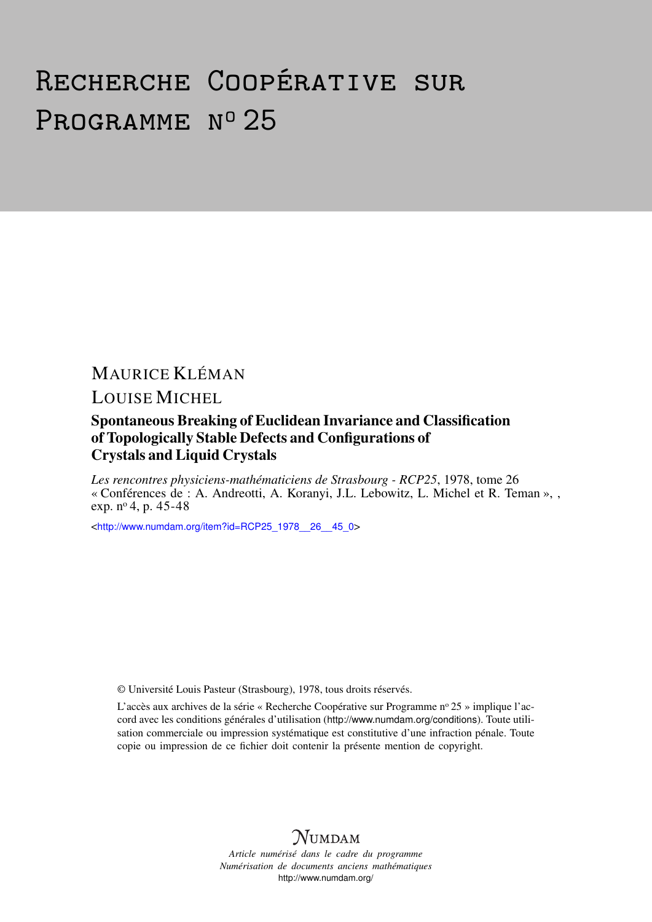# Recherche Coopérative sur PROGRAMME Nº 25

## MAURICE KLÉMAN

### LOUISE MICHEL

#### Spontaneous Breaking of Euclidean Invariance and Classification of Topologically Stable Defects and Configurations of Crystals and Liquid Crystals

*Les rencontres physiciens-mathématiciens de Strasbourg - RCP25*, 1978, tome 26 « Conférences de : A. Andreotti, A. Koranyi, J.L. Lebowitz, L. Michel et R. Teman », , exp. nº 4, p. 45-48

<[http://www.numdam.org/item?id=RCP25\\_1978\\_\\_26\\_\\_45\\_0](http://www.numdam.org/item?id=RCP25_1978__26__45_0)>

© Université Louis Pasteur (Strasbourg), 1978, tous droits réservés.

L'accès aux archives de la série « Recherche Coopérative sur Programme n° 25 » implique l'accord avec les conditions générales d'utilisation (<http://www.numdam.org/conditions>). Toute utilisation commerciale ou impression systématique est constitutive d'une infraction pénale. Toute copie ou impression de ce fichier doit contenir la présente mention de copyright.

# **NUMDAM**

*Article numérisé dans le cadre du programme Numérisation de documents anciens mathématiques* <http://www.numdam.org/>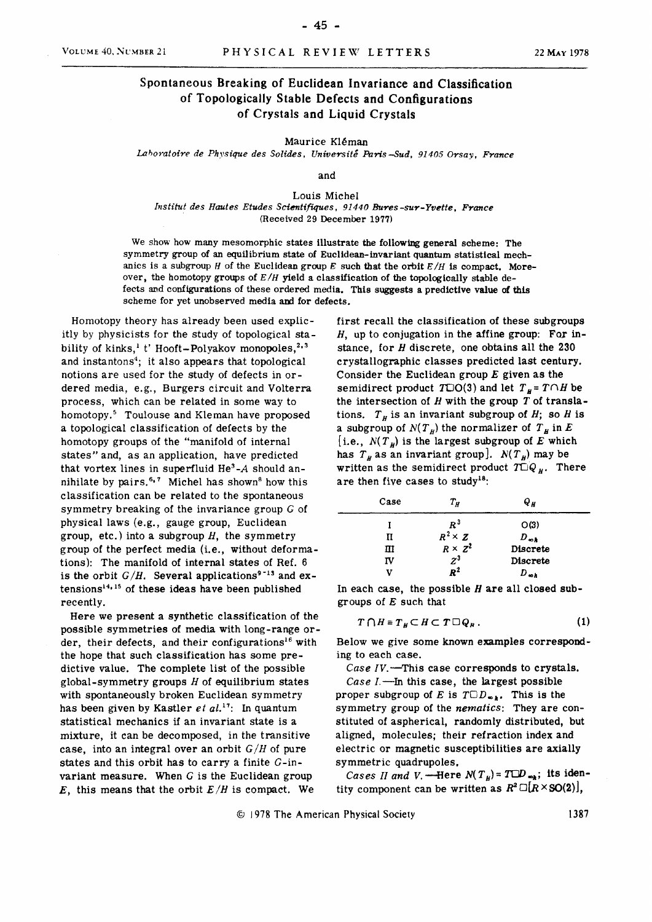**- 45 -**

#### Spontaneous Breaking of Euclidean Invariance and Classification of Topologically Stable Defects and Configurations of Crystals and Liquid Crystals

**Maurice Kléman** 

*Laboratoire de Physique des Solides, Université Paris Sud, 91405 Orsay, France* 

**and** 

**Louis Michel**  *Institut des Hautes Etudes Scientifiques, 91440 Bures -sur-Yvette, France*  **(Received 29 December 1977)** 

**We show how many mesomorphic states illustrate the following gênerai scheme: The symmetry group of an equilibrium state of Euclidean-invariant quantum statistical mech**anics is a subgroup *H* of the Euclidean group *E* such that the orbit  $E/H$  is compact. Moreover, the homotopy groups of  $E/H$  yield a classification of the topologically stable de**fects and configurations of thèse ordered média. This suggests a prédictive value of this**  scheme for yet unobserved media and for defects.

**Homotopy theory has aiready been used explicitly by physicists for the study of topological sta**bility of kinks,<sup>1</sup> t' Hooft-Polyakov monopoles,<sup>2,3</sup> **and instantons<sup>4</sup> ; it also appears that topological notions are used for the study of defects in or**dered media, e.g., Burgers circuit and Volterra **process, which can be related in some way to homotopy.<sup>5</sup> Toulouse and Kleman have proposed a topological classification of defects by the homotopy groups of the "manifold of internai states" and, as an application, have predicted that vortex Unes in superfluid** *He<sup>3</sup> -A* **should an** $n = \frac{1}{2}$  and  $n = \frac{1}{2}$  and  $n = \frac{1}{2}$  and  $n = \frac{1}{2}$  and  $n = \frac{1}{2}$  and  $n = \frac{1}{2}$  and  $n = \frac{1}{2}$  and  $n = \frac{1}{2}$  and  $n = \frac{1}{2}$  and  $n = \frac{1}{2}$  and  $n = \frac{1}{2}$  and  $n = \frac{1}{2}$  and  $n = \frac{1}{2}$  and  $n = \frac{1}{2}$  a **classification can be related to the spontaneous symmetry breaking of the invariance group** *G* **of physical laws (e.g., gauge group, Euclidean group, etc.) into a subgroup** *H<sup>y</sup>*  **the symmetry group of the perfect média (i.e., without déformations): The manifold of internai states of Réf. 6**  is the orbit  $G/H$ . Several applications<sup>9-13</sup> and ex- $\tan \frac{14}{15}$  of these ideas have been published **recently.** 

Here we present a synthetic classification of the **possible symmetries of média with long-range order, their defects, and their configurations<sup>16</sup> with the hope that such classification has some prédictive value. The complète list of the possible global-symmetry groups** *H* **of equilibrium states with spontaneously broken Euclidean symmetry has been given by Kastler** *et al.17:* **In quantum statistical mechanics if an invariant state is a mixture, it can be decomposed, in the transitive case, into an intégral over an orbit** *G/H* **of pure states and this orbit has to carry a finite G-invariant measure. When** *G* **is the Euclidean group**  this means that the orbit  $E/H$  is compact. We **first recall the classification of thèse subgroups //, up to conjugation in the affine group: For instance, for** *H* **discrète, one obtains ail the 230 crystallographic classes predicted last century.**  Consider the Euclidean group  $E$  given as the **semidirect product**  $T\Box O(3)$  **and let**  $T_{\mu} = T\Box H$  be the intersection of  $H$  with the group  $T$  of translations.  $T_H$  is an invariant subgroup of *H*; so *H* is **a** subgroup of  $N(T_H)$  the normalizer of  $T_H$  in  $E$  $\left[i.e., N(T<sub>H</sub>)\right]$  is the largest subgroup of E which has  $T_H$  as an invariant group].  $N(T_H)$  may be written as the semidirect product  $TQ_H$ . There **are then five cases to study18:** 

| Case                           | $T_H$          | Q µ             |  |  |
|--------------------------------|----------------|-----------------|--|--|
|                                | $R^3$          | O(3)            |  |  |
| п                              | $R^2 \times Z$ | $D_{\infty h}$  |  |  |
| $R \times \overline{z^2}$<br>ш |                | <b>Discrete</b> |  |  |
| $z^3$<br>πv                    |                | <b>Discrete</b> |  |  |
| v                              | $R^2$          | D.,             |  |  |

**In each case, the possible** *H* **are ail closed subgroups of such that** 

$$
T \cap H \equiv T_H \subset H \subset T \square Q_H \,. \tag{1}
$$

**Below we give some known examples corresponding to each case.** 

*Case IV.***—This case corresponds to crystals.**  *Case* **/.—In this case, the largest possible proper subgroup of E** is  $T \Box D_{m,k}$ . This is the **symmetry group of the** *nematics:* **They are constituted of aspherical, randomly distributed, but**  aligned, molecules; their refraction index and **electric or magnetic susceptibilities are axially symmetric quadrupoles.** 

*Cases II and V.* - Here  $N(T<sub>H</sub>) = TCD<sub>up</sub>$ ; its identity component can be written as  $R^2 \Box [R \times SO(2)],$ 

**© 1978 The American Physical Society 1387**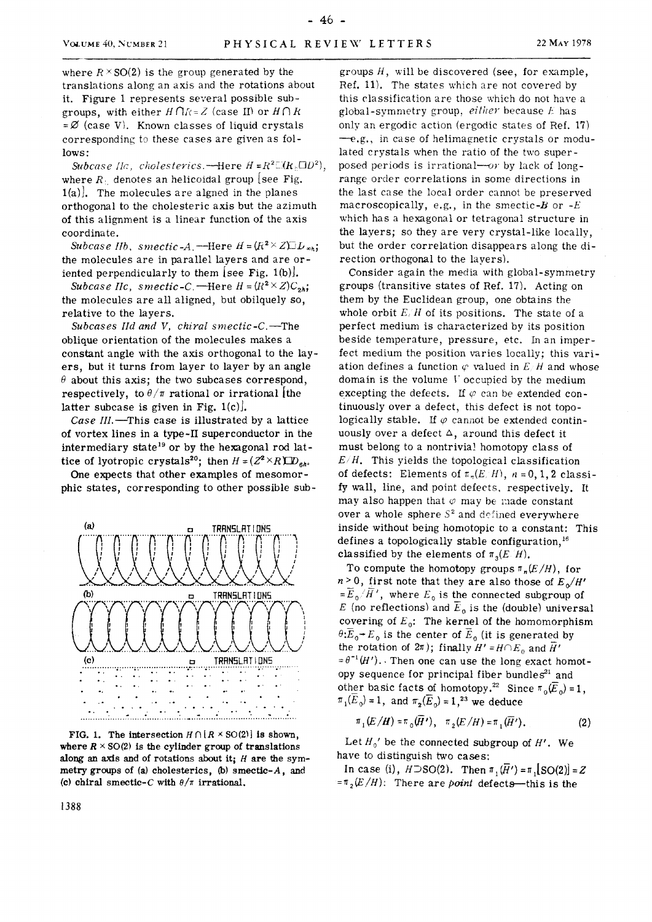where  $R \times$  SO(2) is the group generated by the translations along an axis and the rotations about it. Figure **1** represents several possible subgroups, with either  $H \cap R = Z$  (case II) or  $H \cap R$  $=\emptyset$  (case V). Known classes of liquid crystals corresponding to thèse cases are given as follows:

*Subcase lia, cliolesterics.*—Here *H =R<sup>2</sup> Î-iRrOD<sup>2</sup> ),*  where  $R_1$  denotes an helicoidal group [see Fig.  $1(a)$ . The molecules are algned in the planes orthogonal to the cholesteric axis but the azimuth of this alignment is a linear function of the axis coordinate.

*Subcase IIb*, *smectic-A*.<sup>——</sup>Here  $H = (R^2 \times Z) \square L_{\infty h}$ ; the molécules are in parallel layers and are oriented perpendicularly to them [see Fig. 1(b)].

*Subcase IIc, smectic-C.*—Here  $H = (R^2 \times Z)C_{2h}$ ; the molécules are ail aligned, but obilquely so, relative to the layers.

*Subcases IId and V, chiral smectic-C.*—The oblique orientation of the molécules makes a constant angle with the axis orthogonal to the layers, but it turns from layer to layer by an angle  $\theta$  about this axis; the two subcases correspond, respectively, to  $\theta/\pi$  rational or irrational the latter subcase is given in Fig.  $1(c)$ .

*Case III.*—This case is illustrated by a lattice of vortex lines in a type-II superconductor in the intermediary state $^{19}$  or by the hexagonal rod lattice of lyotropic crystals<sup>20</sup>; then  $H = (Z^2 \times R) \mathbb{Z}D_{6h}$ 

One expects that other examples of mesomorphic states, corresponding to other possible sub-



FIG. 1. The intersection  $H \cap [R \times SO(2)]$  is shown, where  $R \times SO(2)$  is the cylinder group of translations **along an axis and of rotations about it;** *H* **are the sym**metry groups of (a) cholesterics, (b) smectic-A, and (c) chiral smectic-C with  $\theta/\pi$  irrational.

groups  $H$ , will be discovered (see, for example, Réf. 11). The states which are not covered by this classification are those which do not have a global-symmetry group, *either* because  $E$  has only an ergodic action (ergodic states of Réf. 17)  $-e.g.,$  in case of helimagnetic crystals or modula ted crystals when the ratio of the two superposed periods is irrational—*or* by lack of longrange order corrélations in some directions in the last case the local order cannot be preserved macroscopically, e.g., in the smectic- $\bm{B}$  or - $\bm{E}$ which has a hexagonal or tetragonal structure in the layers; so they are very crystal-like locally, but the order correlation disappears along the direction orthogonal to the layers).

Consider again the media with global-symmetry groups (transitive states of Ref. 17). Acting on them by the Euclidean group, one obtains the whole orbit  $E/H$  of its positions. The state of a perfect médium is characterized by its position beside temperature, pressure, etc. In an imperfect medium the position varies locally; this variation defines a function  $\varphi$  valued in  $E/H$  and whose domain is the volume  $V$  occupied by the medium excepting the defects. If  $\varphi$  can be extended continuously over a defect, this defect is not topologically stable. If  $\varphi$  cannot be extended continuously over a defect  $\Delta$ , around this defect it must belong to a nontrivial homotopy class of *E/H.* This yields the topological classification of defects: Elements of  $\pi_n(E/H)$ ,  $n = 0, 1, 2$  classify wall, line, and point defects, respectively. It may also happen that  $\varphi$  may be made constant over a whole sphere  $S^2$  and defined everywhere inside without being homotopic to a constant: This defines a topologically stable configuration,  $16$ classified by the elements of  $\pi_3(E/H)$ .

To compute the homotopy groups  $\pi_n(E/H)$ , for  $n > 0$ , first note that they are also those of  $E_n/H'$  $=E_{0}/H'$ , where  $E_{0}$  is the connected subgroup of (no reflections) and  $E_0$  is the (double) universal covering of  $E_0$ : The kernel of the homomorphism  $\theta$ : $E_{0}$   $E_{0}$  is the center of  $E_{0}$  (it is generated by the rotation of  $2\pi$ ); finally  $H' = H \cap E_0$  and  $H'$  $=\theta^{-1}(H')$ . Then one can use the long exact homotopy sequence for principal fiber bundles<sup>21</sup> and other basic facts of homotopy.<sup>22</sup> Since  $\pi_0(E_0) = 1$ ,  $\pi_1(E_o) = 1$ , and  $\pi_2(E_o) = 1$ , <sup>23</sup> we deduce

$$
\pi_1(E/H) = \pi_0(\overline{H}^t), \quad \pi_2(E/H) = \pi_1(\overline{H}^t).
$$
 (2)

Let  $H_0'$  be the connected subgroup of  $H'$ . We have to distinguish two cases:

In case (i),  $H\supset SO(2)$ . Then  $\pi$ ,  $(\overline{H}') = \pi$ ,  $[SO(2)] = Z$  $= \pi$ <sub>2</sub> $(E/H)$ : There are *point* defects—this is the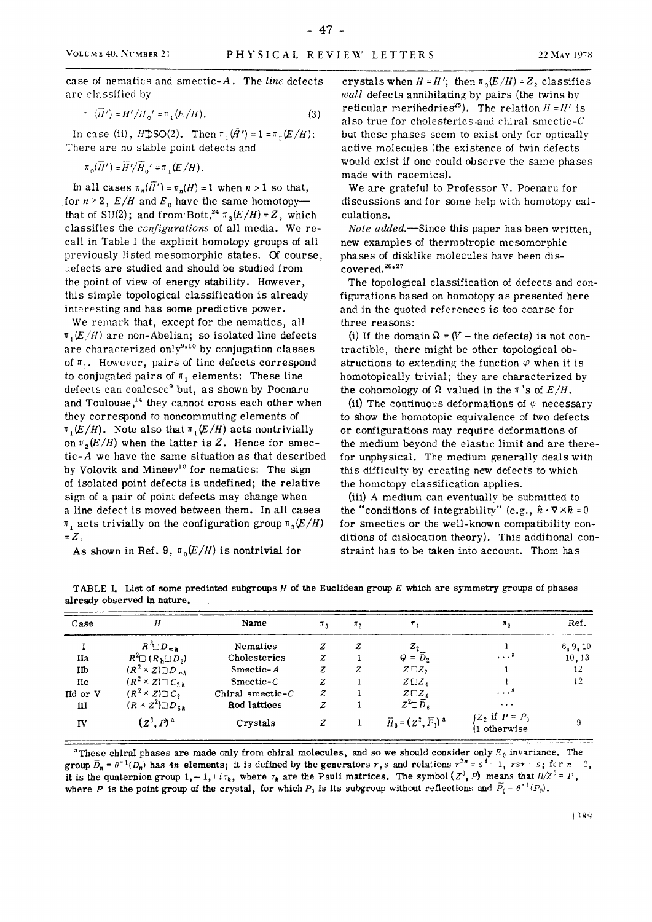**- 47 -**

case of nematics and smectio**> 4** . The *line* defects are classified by

$$
\pi_{\alpha}(H') = H'/H_0' = \pi_{\alpha}(E/H). \tag{3}
$$

In case (ii),  $H\text{DSO}(2)$ . Then  $\pi_1(\overline{H}') = 1 = \pi_2(E/H)$ : There are no stable point defects and

$$
\pi_0(\overline{H}')=\overline{H}'/\overline{H}_0'=\pi_1(E/H).
$$

In all cases  $\pi_n(H') = \pi_n(H) = 1$  when  $n > 1$  so that, for  $n > 2$ ,  $E/H$  and  $E_0$  have the same homotopy that of SU(2); and from Bott,<sup>24</sup>  $\pi$ <sub>3</sub> $(E/H) = Z$ , which classifies the *configurations* of all media. We recall in Table I the explicit homotopy groups of ail previously listed mesomorphic states. Of course, defects are studied and should be studied from the point of view of energy stability. However, this simple topological classification is already interesting and has some predictive power.

We remark that, except for the nematics, ail  $\pi$ ,  $(E/H)$  are non-Abelian; so isolated line defects are characterized only<sup>9,10</sup> by conjugation classes of  $\pi$ . However, pairs of line defects correspond to conjugated pairs of  $\pi_1$  elements: These line defects can coalesce $^9$  but, as shown by Poenaru and Toulouse, $^{14}$  they cannot cross each other when they correspond to noncommuting elements of  $\pi$ <sub>1</sub> $(E/H)$ . Note also that  $\pi$ <sub>1</sub> $(E/H)$  acts nontrivially on  $\pi$ <sub>2</sub> $(E/H)$  when the latter is Z. Hence for smectic- $A$  we have the same situation as that described by Volovik and Mineev<sup>10</sup> for nematics: The sign of isolated point defects is undefined; the relative sign of a pair of point defects may change when a line defect is moved between them. In all cases  $\pi$ , acts trivially on the configuration group  $\pi$ <sub>3</sub> $(E/H)$  $= Z$ .

As shown in Ref. 9,  $\pi_0(E/H)$  is nontrivial for

crystals when  $H = H'$ ; then  $\pi_0(E/H) = Z_2$  classifies *wall* defects annihilating by pairs (the twins by reticular merihedries<sup>25</sup>). The relation  $H = H'$  is also true for cholesterics-and chiral smectic-C but these phases seem to exist only for optically active molecules (the existence of twin defects would exist if one could observe the same phases made with racemics).

We are grateful to Professor V. Poenaru for discussions and for some help with homotopy calculations.

*Note added.*—Since this paper has been written, new examples of thermotropic mesomorphic phases of disklike molécules have been dis- $\small{\mathsf{covered}.^{26*27}}$ 

The topological classification of defects and configurations based on homotopy as presented here and in the quoted références is too coarse for three reasons:

(i) If the domain  $\Omega = (V -$  the defects) is not contractible, there might be other topological obstructions to extending the function  $\varphi$  when it is homotopically trivial; they are characterized by the cohomology of  $\Omega$  valued in the  $\pi$ 's of  $E/H$ .

(ii) The continuous deformations of  $\varphi$  necessary to show the homotopic équivalence of two defects or configurations may require déformations of the medium beyond the elastic limit and are therefor unphysical. The medium generally deals with this difficulty by creating new defects to which the homotopy classification applies.

(iii) A médium can eventually be submitted to the "conditions of integrability" (e.g.,  $\hat{n} \cdot \nabla \times \hat{n} = 0$ for smectics or the well-known compatibility conditions of dislocation theory). This additional constraint has to be taken into account. Thom has

**TABLE L List of some predicted subgroups** *H* **of the Euclidean group which are symmetry groups of phases already observed in nature.** 

| Case     | H                                     | Name                | $\pi_{3}$ | $\pi$ <sub>2</sub> | $\pi_{1}$                        | $\pi_0$                                 | Ref.     |
|----------|---------------------------------------|---------------------|-----------|--------------------|----------------------------------|-----------------------------------------|----------|
|          | $R^3 \Box D_{\infty h}$               | Nematics            | z         | Z                  | $Z_2$                            |                                         | 6, 9, 10 |
| IIa      | $R^2 \square (R_h \square D_2)$       | Cholesterics        | z         |                    | $Q = \overline{D}_2$             | $\ldots$ a                              | 10,13    |
| IIb      | $(R^2 \times Z) \square D_{\infty h}$ | Smectic-A           | z         | z                  | $Z \square Z_2$                  |                                         | 12       |
| $\pi$    | $(R^2 \times Z) \square C_{2h}$       | $Smeetic-C$         | z         |                    | $Z \square Z_{A}$                |                                         | 12       |
| Ild or V | $(R^2 \times Z) \square C$            | Chiral smectic- $C$ | z         |                    | $Z \square Z_{4}$                | $\cdot \cdot \cdot$ <sup>a</sup>        |          |
| ш        | $(R \times Z^2) \square D_{\alpha h}$ | Rod lattices        | z         |                    | $Z^2 \Box \overline{D}_\kappa$   | $\cdots$                                |          |
| IV       | $(Z^3, P)^4$                          | Crystals            | z         |                    | $\vec{H}_0 = (Z^3, \vec{P}_0)^2$ | $\int Z_2$ if $P = P_0$<br>l1 otherwise | 9        |

 $^{\text{a}}$ These chiral phases are made only from chiral molecules, and so we should consider only  $E_{\theta}$  invariance. The group  $\overline{D}_n = \theta^{-1}(D_n)$  has 4n elements; it is defined by the generators r,s and relations  $r^{2n} = s^4 = 1$ ,  $rsr = s$ ; for  $n = 2$ , it is the quaternion group  $1 - 1$ ,  $\pm i\tau_k$ , where  $\tau_k$  are the Pauli matrices. The symbol  $(Z^3, P)$  means that  $H/Z^* = P$ , where P is the point group of the crystal, for which  $P_0$  is its subgroup without reflections and  $P_0 = \theta^{-1}(P_0)$ .